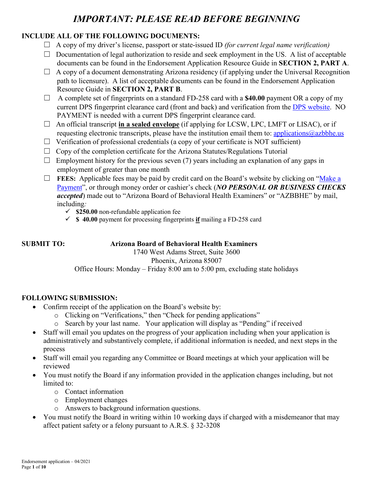# *IMPORTANT: PLEASE READ BEFORE BEGINNING*

### **INCLUDE ALL OF THE FOLLOWING DOCUMENTS:**

- ☐ A copy of my driver's license, passport or state-issued ID *(for current legal name verification)*
- $\Box$  Documentation of legal authorization to reside and seek employment in the US. A list of acceptable documents can be found in the Endorsement Application Resource Guide in **SECTION 2, PART A**.
- $\Box$  A copy of a document demonstrating Arizona residency (if applying under the Universal Recognition path to licensure). A list of acceptable documents can be found in the Endorsement Application Resource Guide in **SECTION 2, PART B**.
- ☐ A complete set of fingerprints on a standard FD-258 card with a **\$40.00** payment OR a copy of my current DPS fingerprint clearance card (front and back) and verification from the [DPS website.](https://webapps.azdps.gov/public_inq_acct/acct/ShowClearanceCardStatus.action) NO PAYMENT is needed with a current DPS fingerprint clearance card.
- ☐ An official transcript **in a sealed envelope** (if applying for LCSW, LPC, LMFT or LISAC), or if requesting electronic transcripts, please have the institution email them to:  $\frac{applications@azbbhe.us}{applications@azbbhe.us}$
- $\Box$  Verification of professional credentials (a copy of your certificate is NOT sufficient)
- $\Box$  Copy of the completion certificate for the Arizona Statutes/Regulations Tutorial
- $\Box$  Employment history for the previous seven (7) years including an explanation of any gaps in employment of greater than one month
- □ **FEES:** Applicable fees may be paid by credit card on the Board's website by clicking on "Make a [Payment"](https://bbhepay.az.gov/applying-licensure), or through money order or cashier's check (*NO PERSONAL OR BUSINESS CHECKS accepted*) made out to "Arizona Board of Behavioral Health Examiners" or "AZBBHE" by mail, including*:*
	- $\checkmark$  \$250.00 non-refundable application fee
	- **\$ 40.00** payment for processing fingerprints **if** mailing a FD-258 card

#### **SUBMIT TO: Arizona Board of Behavioral Health Examiners**

1740 West Adams Street, Suite 3600 Phoenix, Arizona 85007 Office Hours: Monday – Friday 8:00 am to 5:00 pm, excluding state holidays

#### **FOLLOWING SUBMISSION:**

- Confirm receipt of the application on the Board's website by:
	- o Clicking on "Verifications," then "Check for pending applications"
	- o Search by your last name. Your application will display as "Pending" if received
- Staff will email you updates on the progress of your application including when your application is administratively and substantively complete, if additional information is needed, and next steps in the process
- Staff will email you regarding any Committee or Board meetings at which your application will be reviewed
- You must notify the Board if any information provided in the application changes including, but not limited to:
	- o Contact information
	- o Employment changes
	- o Answers to background information questions.
- You must notify the Board in writing within 10 working days if charged with a misdemeanor that may affect patient safety or a felony pursuant to A.R.S. § 32-3208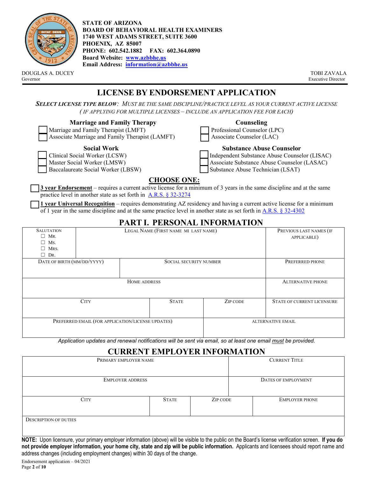

**STATE OF ARIZONA BOARD OF BEHAVIORAL HEALTH EXAMINERS 1740 WEST ADAMS STREET, SUITE 3600 PHOENIX, AZ 85007 PHONE: 602.542.1882 FAX: 602.364.0890 Board Website: www.azbbhe.us Email Address: information@azbbhe.us**

DOUGLAS A. DUCEY TOBI ZAVALA Governor Executive Director

# **LICENSE BY ENDORSEMENT APPLICATION**

*SELECT LICENSE TYPE BELOW: MUST BE THE SAME DISCIPLINE/PRACTICE LEVEL AS YOUR CURRENT ACTIVE LICENSE ( IF APPLYING FOR MULTIPLE LICENSES – INCLUDE AN APPLICATION FEE FOR EACH)*

#### **Marriage and Family Therapy**

 Marriage and Family Therapist (LMFT) Associate Marriage and Family Therapist (LAMFT)

#### **Social Work**

Clinical Social Worker (LCSW)

Master Social Worker (LMSW)

Baccalaureate Social Worker (LBSW)

## **Counseling**

| Professional Counselor (LPC) |
|------------------------------|
| Associate Counselor (LAC)    |

#### **Substance Abuse Counselor**

 Independent Substance Abuse Counselor (LISAC) Associate Substance Abuse Counselor (LASAC) Substance Abuse Technician (LSAT)

#### **CHOOSE ONE:**

**3 year Endorsement** – requires a current active license for a minimum of 3 years in the same discipline and at the same practice level in another state as set forth in **A.R.S.** § 32-3274

**1 year Universal Recognition** – requires demonstrating AZ residency and having a current active license for a minimum of 1 year in the same discipline and at the same practice level in another state as set forth in [A.R.S. § 32-4302](https://www.azleg.gov/viewDocument/?docName=http://www.azleg.gov/ars/32/04302.htm)

| <b>SALUTATION</b><br>$\Box$ MR.<br>Ms.<br>MRS.<br>$\Box$ DR. |             | PREVIOUS LAST NAMES (IF<br>APPLICABLE) |                               |          |                            |
|--------------------------------------------------------------|-------------|----------------------------------------|-------------------------------|----------|----------------------------|
| DATE OF BIRTH (MM/DD/YYYY)                                   |             |                                        | <b>SOCIAL SECURITY NUMBER</b> |          | PREFERRED PHONE            |
|                                                              |             |                                        |                               |          |                            |
|                                                              |             | HOME ADDRESS                           |                               |          | <b>ALTERNATIVE PHONE</b>   |
|                                                              |             |                                        |                               |          |                            |
|                                                              | <b>CITY</b> |                                        | <b>STATE</b>                  | ZIP CODE | STATE OF CURRENT LICENSURE |
|                                                              |             |                                        |                               |          |                            |
| PREFERRED EMAIL (FOR APPLICATION/LICENSE UPDATES)            |             |                                        |                               |          | ALTERNATIVE EMAIL          |
|                                                              |             |                                        |                               |          |                            |

## **PART I. PERSONAL INFORMATION**

*Application updates and renewal notifications will be sent via email, so at least one email must be provided.*

#### **CURRENT EMPLOYER INFORMATION**

| PRIMARY EMPLOYER NAME        |              | <b>CURRENT TITLE</b> |                       |
|------------------------------|--------------|----------------------|-----------------------|
| <b>EMPLOYER ADDRESS</b>      |              |                      | DATES OF EMPLOYMENT   |
| <b>CITY</b>                  | <b>STATE</b> | ZIP CODE             | <b>EMPLOYER PHONE</b> |
| <b>DESCRIPTION OF DUTIES</b> |              |                      |                       |

**NOTE:** Upon licensure, your primary employer information (above) will be visible to the public on the Board's license verification screen. **If you do not provide employer information, your home city, state and zip will be public information.** Applicants and licensees should report name and address changes (including employment changes) within 30 days of the change.

Endorsement application – 04/2021 Page **2** of **10**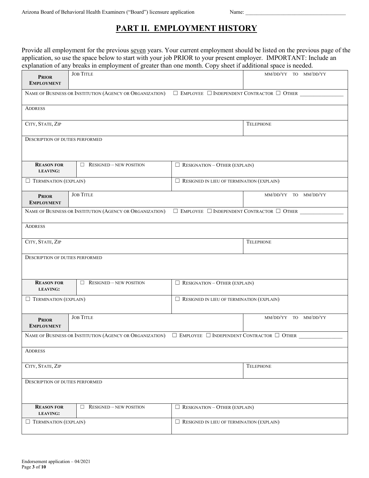## **PART II. EMPLOYMENT HISTORY**

Provide all employment for the previous seven years. Your current employment should be listed on the previous page of the application, so use the space below to start with your job PRIOR to your present employer. IMPORTANT: Include an explanation of any breaks in employment of greater than one month. Copy sheet if additional space is needed.

| <b>PRIOR</b>                           | explaination of any orders in employment of greater than one moment copy sheet in additional space is necessa<br><b>JOB TITLE</b> |                                                  | MM/DD/YY TO MM/DD/YY             |  |  |
|----------------------------------------|-----------------------------------------------------------------------------------------------------------------------------------|--------------------------------------------------|----------------------------------|--|--|
| <b>EMPLOYMENT</b>                      |                                                                                                                                   |                                                  |                                  |  |  |
|                                        | NAME OF BUSINESS OR INSTITUTION (AGENCY OR ORGANIZATION) $\Box$ EMPLOYEE $\Box$ INDEPENDENT CONTRACTOR $\Box$ OTHER               |                                                  |                                  |  |  |
| <b>ADDRESS</b>                         |                                                                                                                                   |                                                  |                                  |  |  |
|                                        |                                                                                                                                   |                                                  |                                  |  |  |
| CITY, STATE, ZIP                       |                                                                                                                                   |                                                  | <b>TELEPHONE</b>                 |  |  |
| <b>DESCRIPTION OF DUTIES PERFORMED</b> |                                                                                                                                   |                                                  |                                  |  |  |
|                                        |                                                                                                                                   |                                                  |                                  |  |  |
| <b>REASON FOR</b>                      | $\Box$ RESIGNED - NEW POSITION                                                                                                    | $\Box$ RESIGNATION - OTHER (EXPLAIN)             |                                  |  |  |
| <b>LEAVING:</b>                        |                                                                                                                                   |                                                  |                                  |  |  |
| $\Box$ TERMINATION (EXPLAIN)           |                                                                                                                                   | $\Box$ RESIGNED IN LIEU OF TERMINATION (EXPLAIN) |                                  |  |  |
| <b>PRIOR</b><br><b>EMPLOYMENT</b>      | <b>JOB TITLE</b>                                                                                                                  |                                                  | $MM/DD/YY\quad TO\quad MM/DD/YY$ |  |  |
|                                        | NAME OF BUSINESS OR INSTITUTION (AGENCY OR ORGANIZATION) $\Box$ EMPLOYEE $\Box$ INDEPENDENT CONTRACTOR $\Box$ OTHER               |                                                  |                                  |  |  |
| <b>ADDRESS</b>                         |                                                                                                                                   |                                                  |                                  |  |  |
|                                        |                                                                                                                                   |                                                  |                                  |  |  |
| CITY, STATE, ZIP                       |                                                                                                                                   |                                                  | <b>TELEPHONE</b>                 |  |  |
| <b>DESCRIPTION OF DUTIES PERFORMED</b> |                                                                                                                                   |                                                  |                                  |  |  |
|                                        |                                                                                                                                   |                                                  |                                  |  |  |
| <b>REASON FOR</b>                      | $\Box$ RESIGNED - NEW POSITION                                                                                                    | $\Box$ RESIGNATION - OTHER (EXPLAIN)             |                                  |  |  |
| <b>LEAVING:</b>                        |                                                                                                                                   |                                                  |                                  |  |  |
| $\Box$ TERMINATION (EXPLAIN)           |                                                                                                                                   | $\Box$ RESIGNED IN LIEU OF TERMINATION (EXPLAIN) |                                  |  |  |
|                                        | <b>JOB TITLE</b>                                                                                                                  |                                                  | MM/DD/YY TO MM/DD/YY             |  |  |
| <b>PRIOR</b><br><b>EMPLOYMENT</b>      |                                                                                                                                   |                                                  |                                  |  |  |
|                                        | NAME OF BUSINESS OR INSTITUTION (AGENCY OR ORGANIZATION) $\Box$ EMPLOYEE $\Box$ INDEPENDENT CONTRACTOR $\Box$ OTHER               |                                                  |                                  |  |  |
| <b>ADDRESS</b>                         |                                                                                                                                   |                                                  |                                  |  |  |
|                                        |                                                                                                                                   |                                                  |                                  |  |  |
| CITY, STATE, ZIP                       |                                                                                                                                   |                                                  | <b>TELEPHONE</b>                 |  |  |
| <b>DESCRIPTION OF DUTIES PERFORMED</b> |                                                                                                                                   |                                                  |                                  |  |  |
|                                        |                                                                                                                                   |                                                  |                                  |  |  |
| <b>REASON FOR</b><br><b>LEAVING:</b>   | <b>RESIGNED - NEW POSITION</b><br>$\Box$                                                                                          | $\Box$ RESIGNATION - OTHER (EXPLAIN)             |                                  |  |  |
| $\Box$ TERMINATION (EXPLAIN)           |                                                                                                                                   | $\Box$ RESIGNED IN LIEU OF TERMINATION (EXPLAIN) |                                  |  |  |
|                                        |                                                                                                                                   |                                                  |                                  |  |  |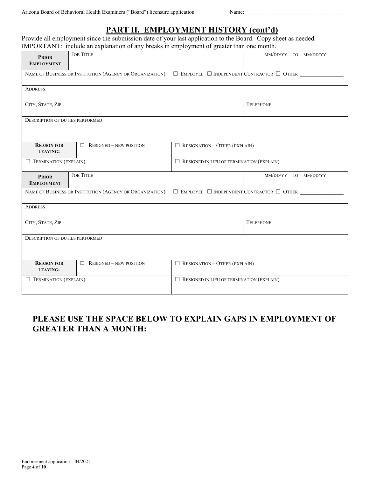## **PART II. EMPLOYMENT HISTORY (cont'd)**

Provide all employment since the submission date of your last application to the Board. Copy sheet as needed. IMPORTANT: include an explanation of any breaks in employment of greater than one month.

| <b>PRIOR</b><br><b>EMPLOYMENT</b>                                                                                      | <b>JOB TITLE</b>                                                       | MM/DD/YY TO MM/DD/YY                             |                      |  |  |  |
|------------------------------------------------------------------------------------------------------------------------|------------------------------------------------------------------------|--------------------------------------------------|----------------------|--|--|--|
| $\Box$ EMPLOYEE $\Box$ INDEPENDENT CONTRACTOR $\Box$ OTHER<br>NAME OF BUSINESS OR INSTITUTION (AGENCY OR ORGANIZATION) |                                                                        |                                                  |                      |  |  |  |
| <b>ADDRESS</b>                                                                                                         |                                                                        |                                                  |                      |  |  |  |
| CITY, STATE, ZIP                                                                                                       |                                                                        |                                                  | <b>TELEPHONE</b>     |  |  |  |
| DESCRIPTION OF DUTIES PERFORMED                                                                                        |                                                                        |                                                  |                      |  |  |  |
| <b>REASON FOR</b><br><b>LEAVING:</b>                                                                                   | $\Box$ RESIGNED - NEW POSITION<br>$\Box$ RESIGNATION - OTHER (EXPLAIN) |                                                  |                      |  |  |  |
| TERMINATION (EXPLAIN)<br>Ш                                                                                             |                                                                        | $\Box$ RESIGNED IN LIEU OF TERMINATION (EXPLAIN) |                      |  |  |  |
| <b>PRIOR</b><br><b>EMPLOYMENT</b>                                                                                      | <b>JOB TITLE</b>                                                       |                                                  | MM/DD/YY TO MM/DD/YY |  |  |  |
| $\Box$ EMPLOYEE $\Box$ INDEPENDENT CONTRACTOR $\Box$ OTHER<br>NAME OF BUSINESS OR INSTITUTION (AGENCY OR ORGANIZATION) |                                                                        |                                                  |                      |  |  |  |
| <b>ADDRESS</b>                                                                                                         |                                                                        |                                                  |                      |  |  |  |
| CITY, STATE, ZIP                                                                                                       |                                                                        |                                                  | <b>TELEPHONE</b>     |  |  |  |
| DESCRIPTION OF DUTIES PERFORMED                                                                                        |                                                                        |                                                  |                      |  |  |  |
| <b>REASON FOR</b><br><b>LEAVING:</b>                                                                                   | <b>RESIGNED - NEW POSITION</b><br>$\Box$                               | $\Box$ RESIGNATION - OTHER (EXPLAIN)             |                      |  |  |  |
| $\Box$ TERMINATION (EXPLAIN)                                                                                           |                                                                        | $\Box$ RESIGNED IN LIEU OF TERMINATION (EXPLAIN) |                      |  |  |  |

## **PLEASE USE THE SPACE BELOW TO EXPLAIN GAPS IN EMPLOYMENT OF GREATER THAN A MONTH:**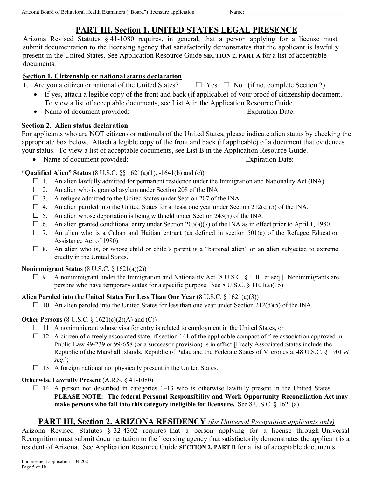# **PART III, Section 1. UNITED STATES LEGAL PRESENCE**

Arizona Revised Statutes § 41-1080 requires, in general, that a person applying for a license must submit documentation to the licensing agency that satisfactorily demonstrates that the applicant is lawfully present in the United States. See Application Resource Guide **SECTION 2, PART A** for a list of acceptable documents.

#### **Section 1. Citizenship or national status declaration**

| 1. Are you a citizen or national of the United States? |
|--------------------------------------------------------|
|--------------------------------------------------------|

- If yes, attach a legible copy of the front and back (if applicable) of your proof of citizenship document.
- To view a list of acceptable documents, see List A in the Application Resource Guide. • Name of document provided: Expiration Date:

#### **Section 2. Alien status declaration**

For applicants who are NOT citizens or nationals of the United States, please indicate alien status by checking the appropriate box below. Attach a legible copy of the front and back (if applicable) of a document that evidences your status. To view a list of acceptable documents, see List B in the Application Resource Guide.

• Name of document provided: Expiration Date:

#### **"Qualified Alien" Status** (8 U.S.C. §§ 1621(a)(1), -1641(b) and (c))

- $\Box$  1. An alien lawfully admitted for permanent residence under the Immigration and Nationality Act (INA).
- $\Box$  2. An alien who is granted asylum under Section 208 of the INA.
- $\Box$  3. A refugee admitted to the United States under Section 207 of the INA
- $\Box$  4. An alien paroled into the United States for at least one year under Section 212(d)(5) of the INA.
- $\Box$  5. An alien whose deportation is being withheld under Section 243(h) of the INA.
- $\Box$  6. An alien granted conditional entry under Section 203(a)(7) of the INA as in effect prior to April 1, 1980.
- $\Box$  7. An alien who is a Cuban and Haitian entrant (as defined in section 501(e) of the Refugee Education Assistance Act of 1980).
- $\Box$  8. An alien who is, or whose child or child's parent is a "battered alien" or an alien subjected to extreme cruelty in the United States.

#### **Nonimmigrant Status** (8 U.S.C. § 1621(a)(2))

 $\Box$  9. A nonimmigrant under the Immigration and Nationality Act [8 U.S.C. § 1101 et seq.] Nonimmigrants are persons who have temporary status for a specific purpose. See 8 U.S.C. § 1101(a)(15).

#### **Alien Paroled into the United States For Less Than One Year** (8 U.S.C. § 1621(a)(3))

 $\Box$  10. An alien paroled into the United States for <u>less than one year</u> under Section 212(d)(5) of the INA

#### **Other Persons** (8 U.S.C. § 1621(c)(2)(A) and (C))

- ☐ 11. A nonimmigrant whose visa for entry is related to employment in the United States, or
- $\Box$  12. A citizen of a freely associated state, if section 141 of the applicable compact of free association approved in Public Law 99-239 or 99-658 (or a successor provision) is in effect [Freely Associated States include the Republic of the Marshall Islands, Republic of Palau and the Federate States of Micronesia, 48 U.S.C. § 1901 *et seq*.];
- $\Box$  13. A foreign national not physically present in the United States.

#### **Otherwise Lawfully Present** (A.R.S. § 41-1080)

 $\Box$  14. A person not described in categories 1–13 who is otherwise lawfully present in the United States. **PLEASE NOTE: The federal Personal Responsibility and Work Opportunity Reconciliation Act may make persons who fall into this category ineligible for licensure.** See 8 U.S.C. § 1621(a).

## **PART III, Section 2. ARIZONA RESIDENCY** *(for Universal Recognition applicants only)*

Arizona Revised Statutes § 32-4302 requires that a person applying for a license through Universal Recognition must submit documentation to the licensing agency that satisfactorily demonstrates the applicant is a resident of Arizona. See Application Resource Guide **SECTION 2, PART B** for a list of acceptable documents.

 $\Box$  Yes  $\Box$  No (if no, complete Section 2)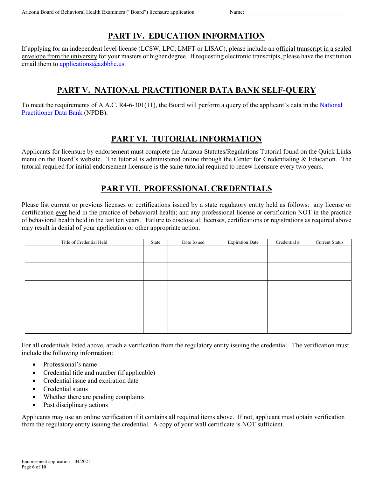# **PART IV. EDUCATION INFORMATION**

If applying for an independent level license (LCSW, LPC, LMFT or LISAC), please include an official transcript in a sealed envelope from the university for your masters or higher degree. If requesting electronic transcripts, please have the institution email them to [applications@azbbhe.us.](mailto:applications@azbbhe.us)

## **PART V. NATIONAL PRACTITIONER DATA BANK SELF-QUERY**

To meet the requirements of A.A.C. R4-6-301(11), the Board will perform a query of the applicant's data in the [National](https://www.npdb.hrsa.gov/)  [Practitioner Data Bank](https://www.npdb.hrsa.gov/) (NPDB).

## **PART VI. TUTORIAL INFORMATION**

Applicants for licensure by endorsement must complete the [Arizona Statutes/Regulations Tutorial](https://azbbhe.us/node/689) found on the Quick Links menu on the Board's website. The tutorial is administered online through the Center for Credentialing & Education. The tutorial required for initial endorsement licensure is the same tutorial required to renew licensure every two years.

## **PART VII. PROFESSIONAL CREDENTIALS**

Please list current or previous licenses or certifications issued by a state regulatory entity held as follows: any license or certification ever held in the practice of behavioral health; and any professional license or certification NOT in the practice of behavioral health held in the last ten years. Failure to disclose all licenses, certifications or registrations as required above may result in denial of your application or other appropriate action.

| Title of Credential Held | State | Date Issued | <b>Expiration Date</b> | Credential # | <b>Current Status</b> |
|--------------------------|-------|-------------|------------------------|--------------|-----------------------|
|                          |       |             |                        |              |                       |
|                          |       |             |                        |              |                       |
|                          |       |             |                        |              |                       |
|                          |       |             |                        |              |                       |
|                          |       |             |                        |              |                       |
|                          |       |             |                        |              |                       |
|                          |       |             |                        |              |                       |
|                          |       |             |                        |              |                       |
|                          |       |             |                        |              |                       |
|                          |       |             |                        |              |                       |
|                          |       |             |                        |              |                       |
|                          |       |             |                        |              |                       |

For all credentials listed above, attach a verification from the regulatory entity issuing the credential. The verification must include the following information:

- Professional's name
- Credential title and number (if applicable)
- Credential issue and expiration date
- Credential status
- Whether there are pending complaints
- Past disciplinary actions

Applicants may use an online verification if it contains all required items above. If not, applicant must obtain verification from the regulatory entity issuing the credential. A copy of your wall certificate is NOT sufficient.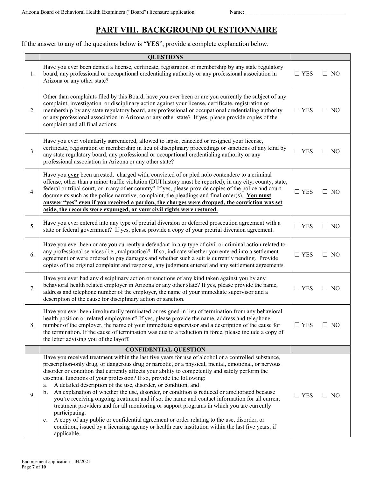# **PART VIII. BACKGROUND QUESTIONNAIRE**

If the answer to any of the questions below is "**YES**", provide a complete explanation below.

|    | <b>QUESTIONS</b>                                                                                                                                                                                                                                                                                                                                                                                                                                                                                                                                                                                                                                                                                                                                                                                                                                                                                                                                                                                                           |               |           |
|----|----------------------------------------------------------------------------------------------------------------------------------------------------------------------------------------------------------------------------------------------------------------------------------------------------------------------------------------------------------------------------------------------------------------------------------------------------------------------------------------------------------------------------------------------------------------------------------------------------------------------------------------------------------------------------------------------------------------------------------------------------------------------------------------------------------------------------------------------------------------------------------------------------------------------------------------------------------------------------------------------------------------------------|---------------|-----------|
| 1. | Have you ever been denied a license, certificate, registration or membership by any state regulatory<br>board, any professional or occupational credentialing authority or any professional association in<br>Arizona or any other state?                                                                                                                                                                                                                                                                                                                                                                                                                                                                                                                                                                                                                                                                                                                                                                                  | $\Box$ YES    | $\Box$ NO |
| 2. | Other than complaints filed by this Board, have you ever been or are you currently the subject of any<br>complaint, investigation or disciplinary action against your license, certificate, registration or<br>membership by any state regulatory board, any professional or occupational credentialing authority<br>or any professional association in Arizona or any other state? If yes, please provide copies of the<br>complaint and all final actions.                                                                                                                                                                                                                                                                                                                                                                                                                                                                                                                                                               | $\square$ YES | $\Box$ NO |
| 3. | Have you ever voluntarily surrendered, allowed to lapse, canceled or resigned your license,<br>certificate, registration or membership in lieu of disciplinary proceedings or sanctions of any kind by<br>any state regulatory board, any professional or occupational credentialing authority or any<br>professional association in Arizona or any other state?                                                                                                                                                                                                                                                                                                                                                                                                                                                                                                                                                                                                                                                           | $\square$ YES | $\Box$ NO |
| 4. | Have you ever been arrested, charged with, convicted of or pled nolo contendere to a criminal<br>offense, other than a minor traffic violation (DUI history must be reported), in any city, county, state,<br>federal or tribal court, or in any other country? If yes, please provide copies of the police and court<br>documents such as the police narrative, complaint, the pleadings and final order(s). You must<br>answer "yes" even if you received a pardon, the charges were dropped, the conviction was set<br>aside, the records were expunged, or your civil rights were restored.                                                                                                                                                                                                                                                                                                                                                                                                                            | $\Box$ YES    | $\Box$ NO |
| 5. | Have you ever entered into any type of pretrial diversion or deferred prosecution agreement with a<br>state or federal government? If yes, please provide a copy of your pretrial diversion agreement.                                                                                                                                                                                                                                                                                                                                                                                                                                                                                                                                                                                                                                                                                                                                                                                                                     | $\square$ YES | $\Box$ NO |
| 6. | Have you ever been or are you currently a defendant in any type of civil or criminal action related to<br>any professional services (i.e., malpractice)? If so, indicate whether you entered into a settlement<br>agreement or were ordered to pay damages and whether such a suit is currently pending. Provide<br>copies of the original complaint and response, any judgment entered and any settlement agreements.                                                                                                                                                                                                                                                                                                                                                                                                                                                                                                                                                                                                     | $\square$ YES | $\Box$ NO |
| 7. | Have you ever had any disciplinary action or sanctions of any kind taken against you by any<br>behavioral health related employer in Arizona or any other state? If yes, please provide the name,<br>address and telephone number of the employer, the name of your immediate supervisor and a<br>description of the cause for disciplinary action or sanction.                                                                                                                                                                                                                                                                                                                                                                                                                                                                                                                                                                                                                                                            | $\Box$ YES    | $\Box$ NO |
| 8. | Have you ever been involuntarily terminated or resigned in lieu of termination from any behavioral<br>health position or related employment? If yes, please provide the name, address and telephone<br>number of the employer, the name of your immediate supervisor and a description of the cause for<br>the termination. If the cause of termination was due to a reduction in force, please include a copy of<br>the letter advising you of the layoff.                                                                                                                                                                                                                                                                                                                                                                                                                                                                                                                                                                | $\square$ YES | $\Box$ NO |
|    | <b>CONFIDENTIAL QUESTION</b>                                                                                                                                                                                                                                                                                                                                                                                                                                                                                                                                                                                                                                                                                                                                                                                                                                                                                                                                                                                               |               |           |
| 9. | Have you received treatment within the last five years for use of alcohol or a controlled substance,<br>prescription-only drug, or dangerous drug or narcotic, or a physical, mental, emotional, or nervous<br>disorder or condition that currently affects your ability to competently and safely perform the<br>essential functions of your profession? If so, provide the following:<br>A detailed description of the use, disorder, or condition; and<br>a.<br>An explanation of whether the use, disorder, or condition is reduced or ameliorated because<br>$\mathbf b$ .<br>you're receiving ongoing treatment and if so, the name and contact information for all current<br>treatment providers and for all monitoring or support programs in which you are currently<br>participating.<br>A copy of any public or confidential agreement or order relating to the use, disorder, or<br>$c$ .<br>condition, issued by a licensing agency or health care institution within the last five years, if<br>applicable. | $\square$ YES | $\Box$ NO |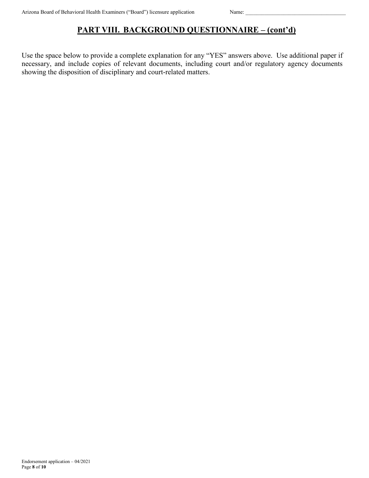## **PART VIII. BACKGROUND QUESTIONNAIRE – (cont'd)**

Use the space below to provide a complete explanation for any "YES" answers above. Use additional paper if necessary, and include copies of relevant documents, including court and/or regulatory agency documents showing the disposition of disciplinary and court-related matters.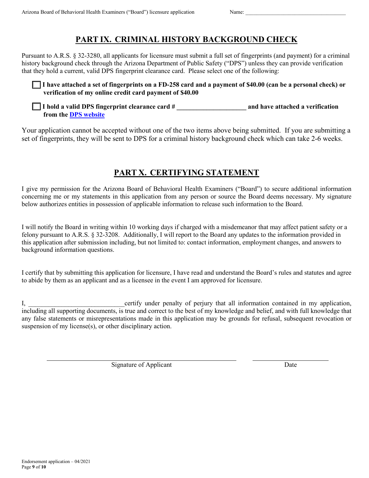## **PART IX. CRIMINAL HISTORY BACKGROUND CHECK**

Pursuant to A.R.S. § 32-3280, all applicants for licensure must submit a full set of fingerprints (and payment) for a criminal history background check through the Arizona Department of Public Safety ("DPS") unless they can provide verification that they hold a current, valid DPS fingerprint clearance card. Please select one of the following:

☐ **I have attached a set of fingerprints on a FD-258 card and a payment of \$40.00 (can be a personal check) or verification of my online credit card payment of \$40.00**

☐ **I hold a valid DPS fingerprint clearance card # \_\_\_\_\_\_\_\_\_\_\_\_\_\_\_\_\_\_\_\_\_ and have attached a verification from the [DPS website](https://webapps.azdps.gov/public_inq_acct/acct/ShowClearanceCardStatus.action)**

Your application cannot be accepted without one of the two items above being submitted. If you are submitting a set of fingerprints, they will be sent to DPS for a criminal history background check which can take 2-6 weeks.

## **PART X. CERTIFYING STATEMENT**

I give my permission for the Arizona Board of Behavioral Health Examiners ("Board") to secure additional information concerning me or my statements in this application from any person or source the Board deems necessary. My signature below authorizes entities in possession of applicable information to release such information to the Board.

I will notify the Board in writing within 10 working days if charged with a misdemeanor that may affect patient safety or a felony pursuant to A.R.S. § 32-3208. Additionally, I will report to the Board any updates to the information provided in this application after submission including, but not limited to: contact information, employment changes, and answers to background information questions.

I certify that by submitting this application for licensure, I have read and understand the Board's rules and statutes and agree to abide by them as an applicant and as a licensee in the event I am approved for licensure.

I, certify under penalty of perjury that all information contained in my application, including all supporting documents, is true and correct to the best of my knowledge and belief, and with full knowledge that any false statements or misrepresentations made in this application may be grounds for refusal, subsequent revocation or suspension of my license(s), or other disciplinary action.

Signature of Applicant Date